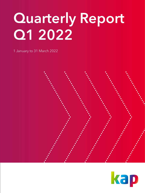# Quarterly Report Q1 2022

1 January to 31 March 2022



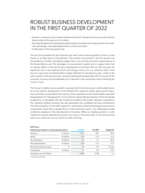### ROBUST BUSINESS DEVELOPMENT IN THE FIRST QUARTER OF 2022

- Growth in a dynamic and uncertain market environment: Group's revenue up 25.8% in the first three months of the year to €113.3 million
- Earnings development impacted by global supply constraints and rising prices for raw materials and energy: normalised EBITDA down 8.1% to €10.8 million
- Confirmation of the forecast for 2022

The KAP Group started the 2022 financial year with sound revenue growth of close to 25.8% thanks to its high level of diversification. The market environment in the first quarter was dominated by a further intensifying supply chain crisis and the economic repercussions of the Russia-Ukraine war. The shortages on procurement markets and in supply chains had an adverse effect on the KAP Group's development of earnings. We can still only pass the significant rise in raw materials prices and energy costs on to our customers with a time lag. As a result, the normalised EBITDA margin declined to 9.5% (previous year: 13.0%). In the same quarter of the previous year, business developed exceptionally well on account of the economic recovery and considerable rise in demand in the automotive sector following the Covid-19 crisis.

The Group's notable revenue growth compared with the previous year is attributable above all to the positive development of the flexible films segment, whose steep growth trajectory was further accelerated by the closure of the acquisition for the Israeli plastics specialist Haogenplast Ltd. ("Haogenplast"). In line with the clearly defined objective of the Accelerate programme to strengthen the KAP investment portfolio with further attractive acquisitions, the industrial holding company has also generated very profitable earnings contributions from this acquisition. In the other segments – particularly surface technologies and precision components, which have a greater focus on the automotive sector – the challenging market conditions weighed on the development of business. While our leading position in niche markets for special applications permits us to pass on the price hikes on the procurement side to our customers, we can only do so with a time lag.

| Selected key indicators on financial performance <sup>1</sup> |                     | 01   2022 | 01   2021 | Change (%) |
|---------------------------------------------------------------|---------------------|-----------|-----------|------------|
| Revenue                                                       | $\epsilon$ millions | 113.3     | 90.1      | 25.8       |
| <b>EBITDA</b>                                                 | $\epsilon$ millions | 10.5      | 11.5      | $-8.7$     |
| <b>Normalisations</b>                                         | $\epsilon$ millions | 0.3       | 0.1       | 82.3       |
| Normalised EBITDA                                             | $\epsilon$ millions | 10.8      | 11.6      | $-6.9$     |
| Normalised EBITDA margin                                      | %                   | 9.5       | 12.9      | $-3.4$ pp  |
| Investments                                                   | $\epsilon$ millions | 7.1       | 8.2       | $-13.5$    |
| Employees as of 31 March                                      |                     | 2,925     | 2,720     | 7.5        |

KAP Group

<sup>1</sup> Continuing operations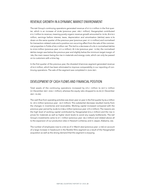#### REVENUE GROWTH IN A DYNAMIC MARKET ENVIRONMENT

The KAP Group's continuing operations generated revenue of  $\epsilon$ 113.3 million in the first quarter, which is an increase of 25.8% (previous year: €90.1 million). Haogenplast contributed €13.7 million to revenue, meaning purely organic revenue growth amounted to 10.5%. At €10.5 million, earnings before interest, taxes, depreciation and amortisation (EBITDA) were 8.7% down on the same quarter of the previous year (previous year: €11.5 million) and normalised for transaction-related costs and a positive non-recurring effect from the sale of the commercial properties in Fulda of €0.3 million net. This led to a decrease of 6.9% in normalised EBITDA to €10.8 million (previous year: €11.6 million). At 9.5% (previous year: 12.9%), the normalised EBITDA margin was below the previous year and slightly below the minimum target margin of 10%, the main reason being the rise in materials and energy costs, which can only be passed on to customers with a time lag.

In the first quarter of the previous year, the divested it/services segment generated revenue of €3.9 million, which has been eliminated to improve comparability in our reporting of continuing operations. The sale of the segment was completed in June 2021.

#### DEVELOPMENT OF CASH FLOWS AND FINANCIAL POSITION

Total assets of the continuing operations increased by  $€75.1$  million to  $€417.2$  million (31 December 2021: €342.1 million), whereas the equity ratio dropped to 44.2% (31 December 2021: 53.4%).

The cash flow from operating activities was down year on year in the first quarter by  $\epsilon$ 6.6 million to –€9.5 million (previous year: –€2.9 million). This substantial decrease resulted mainly from the changes in inventories and receivables. Working capital increased compared with the previous-year period by 36.8% to €108.6 million (previous year: €79.4 million). The reasons are the high level of working capital contributed by Haogenplast (€16.3 million) and the rise in prices for materials as well as higher stock levels to avoid any supply bottlenecks. The KAP Group's investments came to €7.1 million (previous year: €8.2 million) and related above all to the expansion of our production sites in Hessisch Lichtenau and in Jasper, Alabama, USA.

The number of employees rose to 2,925 as of 31 March 2022 (previous year: 2,720) on account of a large increase in headcount in the flexible films segment as a result of the Haogenplast acquisition as well as the strong demand that this segment is enjoying.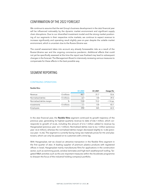#### CONFIRMATION OF THE 2022 FORECAST

We continue to assume that the KAP Group's business development in the 2022 financial year will be influenced noticeably by the dynamic market environment and significant supply chain disruptions. Due to our diversified investment model and the strong market positioning of our segments in their respective niche markets, we continue to expect revenue to increase significantly and operating result slightly year-on-year despite the volatile market environment, which is uncertain due to the Russia-Ukraine war.

The overall assessment takes into account any already foreseeable risks as a result of the Russia-Ukraine war and the ongoing coronavirus pandemic. Additional effects that could not yet be specifically assessed at the time the report was finalised may lead to subsequent changes in the forecast. The Management Board is intensively reviewing various measures to compensate for these effects in the best possible way.

#### SEGMENT REPORTING

#### CONTINUING OPERATIONS

#### flexible films

|                          |                     | 01   2022 | 01   2021 | Change (%) |
|--------------------------|---------------------|-----------|-----------|------------|
| Revenue                  | $\epsilon$ millions | 48.7      | 31.7      | 53.6       |
| Normalised EBITDA        | $\epsilon$ millions | 6.7       | 4.8       | 39.3       |
| Normalised EBITDA margin | %                   | 13.8      | 15.2      | $-1.4$ pp  |
| Investments              | $\epsilon$ millions | 1.1       | 0.8       | 43.1       |
| Employees                |                     | 592       | 365       | 62.2       |

In the 2022 financial year, the **flexible films** segment continued its growth trajectory of the previous year, generating its highest quarterly revenue to date of €48.7 million, which corresponds to growth of 53.6%, including the amount of  $\epsilon$ 13.7 million added to revenue by Haogenplast (previous year: €31.7 million). Normalised EBITDA rose to €6.7 million (previous year: €4.8 million), whereas the normalised EBITDA margin decreased slightly to 13.8% (previous year: 15.2%). The segment is currently facing rising raw materials prices for PVC and plasticisers, which can only be passed on to customers with a time lag.

With Haogenplast, KAP AG closed an attractive transaction in the flexible films segment in the first quarter of 2022. A leading supplier of premium plastics products with registered offices in Israel, Haogenplast mainly manufactures films for applications in the construction sector, such as swimming pools, window laminates and high-tech weatherproof roofing. Targeted M&A activities such as this are important measures within the Accelerate programme to sharpen the focus of the industrial holding company's portfolio.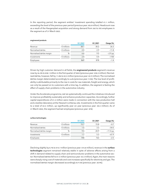In the reporting period, the segment entities' investment spending totalled €1.1 million, exceeding the level of the previous-year period (previous year: €0.8 million). Headcount rose as a result of the Haogenplast acquisition and strong demand from 365 to 592 employees in the segment as of 31 March 2022.

|                          |                     | 0112022 | 01   2021 | Change (%) |
|--------------------------|---------------------|---------|-----------|------------|
| Revenue                  | $\epsilon$ millions | 38.1    | 30.2      | 26.3       |
| Normalised EBITDA        | $\epsilon$ millions | 2.5     | 2.9       | $-11.8$    |
| Normalised EBITDA margin | %                   | 6.6     | 9.5       | $-2.9$ pp  |
| Investments              | $\epsilon$ millions | 2.4     | 0.4       | >100       |
| Employees                |                     | 869     | 878       | $-1.4$     |

#### engineered products

Driven by high customer demand in all fields, the **engineered products** segment's revenue rose by 26.3% to €38.1 million in the first quarter of 2022 (previous year: €30.2 million). Normalised EBITDA, however, fell by 11.8% to €2.5 million (previous year: €2.9 million). The normalised EBITDA margin deteriorated accordingly to 6.6% (previous year: 9.5%). The low level of profitability is attributable primarily to the rise in costs for raw materials, freight and energy, which can only be passed on to customers with a time lag. In addition, the segment is feeling the effect of supply chain problems in the automotive industry.

Under the Accelerate programme, KAP AG systematically continued the initiatives introduced to improve profitability sustainably and enhance production capacities. Accordingly, further capital expenditures of  $\epsilon$ 1.2 million were made in connection with the new production hall and a textiles laboratory at the Hessisch Lichtenau site. Investments in the first quarter came to a total of €2.4 million, up significantly year on year (previous year: €0.4 million). As of 31 March 2022, the segment had 869 employees (previous year: 878).

|                          |                     | 01   2022 | 01   2021 | Change (%) |
|--------------------------|---------------------|-----------|-----------|------------|
| Revenue                  | $\epsilon$ millions | 15.7      | 15.8      | $-0.7$     |
| Normalised EBITDA        | $\epsilon$ millions | 1.5       | 3.3       | $-54.5$    |
| Normalised EBITDA margin | %                   | 9.5       | 20.9      | $-11.4$ pp |
| Investments              | $\epsilon$ millions | 1.7       | 5.3       | $-67.9$    |
| Employees                |                     | 744       | 763       | $-2.5$     |

#### surface technologies

Declining slightly by 0.7% to €15.7 million (previous year: €15.8 million), revenue in the surface technologies segment remained relatively stable in spite of adverse effects arising from a shift in demand related to supply chain and semiconductor problems in the automotive sector. Normalised EBITDA fell to €1.5 million (previous year: €3.3 million). Again, the main reasons were sharply rising cost of materials and cost increases specifically for electricity and gas. The normalised EBITDA margin decreased accordingly to 9.5% (previous year: 20.9%).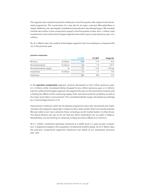The segment also reached important milestones in the first quarter with respect to the Accelerate programme. The construction of a new site for its major customer Mercedes-Benz in Jasper, Alabama, USA, was largely completed and production has already begun. We invested a further €0.8 million in this construction project in the first quarter of 2022. At €1.7 million, total investments in the surface technologies segment were down year on year (previous year: €5.3 million).

As of 31 March 2022, the surface technologies segment had 744 employees compared with 763 in the previous year.

|                          |                     | 01   2022 | 01   2021 | Change (%) |
|--------------------------|---------------------|-----------|-----------|------------|
| Revenue                  | $\epsilon$ millions | 10.9      | 11.9      | $-8.3$     |
| Normalised EBITDA        | $\epsilon$ millions | 0.6       | 1.3       | $-57.7$    |
| Normalised EBITDA margin | %                   | 5.1       | 11.0      | $-5.9$ pp  |
| Investments              | $\epsilon$ millions |           | 1.7       | 0.0        |
| Employees                |                     | 661       | 659       | 0.3        |

#### precision components

In the precision components segment, revenue decreased to €10.9 million (previous year: €11.9 million), while normalised EBITDA dropped to €0.6 million (previous year: €1.3 million). Like the surface technologies segment, this segment focuses on the automotive industry and is feeling the effects of the continuing supply chain and semiconductor problems as well as the major price hikes in procurement. The normalised EBITDA margin decreased accordingly by 5.9 percentage points to 5.1%.

Improvement initiatives under the Accelerate programme were also introduced and implemented in this segment, especially in relation to the e-bike market, which we recently entered. We were able to win new customers there, including a world market leader in e-bike drives. The Russia-Ukraine war has so far not had any direct implications for our plant in Belarus. Nevertheless, we are working on measures to keep any future effects to a minimum.

At €1.7 million, investment spending remained at a stable level in a year-on-year comparison; it related principally to the acquisition of PENTACON GmbH's assets. As of 31 March 2022, the precision components segment's headcount was stable at 661 employees (previous year: 659).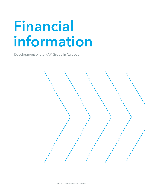# Financial information

Development of the KAP Group in Q1 2022

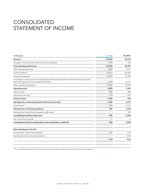# CONSOLIDATED STATEMENT OF INCOME

| in $\epsilon$ thousands                                                                                                                      | 01   2022 | 01   2021 1 |
|----------------------------------------------------------------------------------------------------------------------------------------------|-----------|-------------|
| Revenue                                                                                                                                      | 113,332   | 90,122      |
| Change in inventories and other own work capitalised                                                                                         | 3,194     | $-765$      |
| <b>Total operating performance</b>                                                                                                           | 116,526   | 89,357      |
| Other operating income                                                                                                                       | 2,057     | 3,611       |
| Cost of materials                                                                                                                            | $-67,812$ | $-45,401$   |
| Personnel expenses                                                                                                                           | $-25,072$ | $-21,786$   |
| Amortisation and impairment of intangible assets and depreciation and impairment of property,<br>plant and equipment and investment property | $-7,398$  | $-6,161$    |
| Other operating expenses                                                                                                                     | $-15,209$ | $-14,299$   |
| <b>Operating result</b>                                                                                                                      | 3,092     | 5,321       |
| Interest result                                                                                                                              | $-808$    | $-359$      |
| Other financial result                                                                                                                       | $-979$    | 1,313       |
| <b>Financial result</b>                                                                                                                      | $-1,787$  | 954         |
| Earnings from continuing operations before income taxes                                                                                      | 1,305     | 6,275       |
| Income taxes                                                                                                                                 | $-354$    | $-1,513$    |
| Earnings from continuing operations                                                                                                          | 951       | 4,762       |
| Earnings from discontinued operations after taxes                                                                                            |           | 333         |
| Consolidated profit/loss after taxes                                                                                                         | 951       | 5,094       |
| Non-controlling interests                                                                                                                    | 11        | -4          |
| Consolidated profit/loss attributable to the shareholders of KAP AG                                                                          | 962       | 5,090       |
| Basic earnings per share (€)                                                                                                                 |           |             |
| Earnings from continuing operations                                                                                                          | 0.12      | 0.61        |
| Earnings from discontinued operations                                                                                                        |           | 0.05        |
|                                                                                                                                              | 0.12      | 0.66        |
|                                                                                                                                              |           |             |

<sup>1</sup> The consolidated statement of income for the previous year has been restated for adjustments in the it/services segment.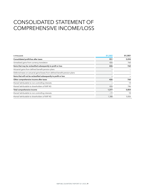## CONSOLIDATED STATEMENT OF COMPREHENSIVE INCOME/LOSS

| in $\epsilon$ thousands                                                     | 01   2022 | 01   2021 |
|-----------------------------------------------------------------------------|-----------|-----------|
| Consolidated profit/loss after taxes                                        | 951       | 5,094     |
| Unrealised gains from currency translation                                  | 426       | 760       |
| Items that may be reclassified subsequently to profit or loss               | 426       | 760       |
| Actuarial gains from defined benefit pension plans                          |           |           |
| Deferred taxes on actuarial gains/losses from defined benefit pension plans |           |           |
| Items that will not be reclassified subsequently to profit or loss          |           |           |
| Other comprehensive income after taxes                                      | 426       | 760       |
| thereof attributable to non-controlling interests                           |           | 14        |
| thereof attributable to shareholders of KAP AG                              | 426       | 746       |
| Total comprehensive income                                                  | 1,377     | 5,854     |
| thereof attributable to non-controlling interests                           | $-11$     | 18        |
| thereof attributable to shareholders of KAP AG                              | 1,388     | 5,836     |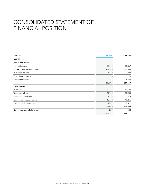# CONSOLIDATED STATEMENT OF FINANCIAL POSITION

| in $\epsilon$ thousands          | 31/03/2022 | 31/12/2021 |
|----------------------------------|------------|------------|
| <b>ASSETS</b>                    |            |            |
| Non-current assets               |            |            |
| Intangible assets                | 50,350     | 35,867     |
| Property, plant and equipment    | 189,860    | 172,343    |
| Investment properties            | 1,869      | 1,888      |
| Other financial assets           | 234        | 196        |
| Deferred tax assets              | 4,483      | 4,365      |
|                                  | 246,796    | 214,659    |
| <b>Current assets</b>            |            |            |
| Inventories                      | 80,447     | 59,597     |
| Trade receivables                | 69,742     | 38,435     |
| Income tax receivables           | 1,276      | 1,219      |
| Other receivables and assets     | 10,562     | 10,256     |
| Cash and cash equivalents        | 7,862      | 17,421     |
|                                  | 169,889    | 126,928    |
| Non-current assets held for sale | 527        | 524        |
|                                  | 417,212    | 342,111    |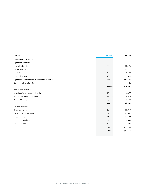| in $\epsilon$ thousands                           | 31/03/2022 | 31/12/2021 |
|---------------------------------------------------|------------|------------|
| <b>EQUITY AND LIABILITIES</b>                     |            |            |
| <b>Equity and reserves</b>                        |            |            |
| Subscribed capital                                | 20,196     | 20,196     |
| Capital reserve                                   | 86,921     | 86,921     |
| Reserves                                          | $-16,246$  | $-16,672$  |
| Retained earnings                                 | 92,658     | 91,696     |
| Equity attributable to the shareholders of KAP AG | 183,529    | 182,141    |
| Non-controlling interests                         | 535        | 546        |
|                                                   | 184,064    | 182,687    |
| <b>Non-current liabilities</b>                    |            |            |
| Provisions for pensions and similar obligations   | 16,558     | 16,677     |
| Non-current financial liabilities                 | 33,320     | 26,676     |
| Deferred tax liabilities                          | 8,614      | 6,528      |
|                                                   | 58,492     | 49,881     |
| <b>Current liabilities</b>                        |            |            |
| Other provisions                                  | 19,749     | 22,917     |
| Current financial liabilities                     | 87,176     | 43,097     |
| Trade payables                                    | 41,589     | 24,547     |
| Income tax liabilities                            | 7,568      | 7,643      |
| Other liabilities                                 | 18,574     | 11,339     |
|                                                   | 174,656    | 109,543    |
|                                                   | 417,212    | 342,111    |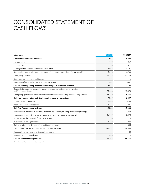## CONSOLIDATED STATEMENT OF CASH FLOWS

| in $\epsilon$ thousands                                                                                       | 01   2022 | 01   2021 1 |
|---------------------------------------------------------------------------------------------------------------|-----------|-------------|
| Consolidated profit/loss after taxes                                                                          | 951       | 5,094       |
| Interest result                                                                                               | 808       | 359         |
| Income taxes                                                                                                  | 354       | 1,672       |
| Earnings before interest and income taxes (EBIT)                                                              | 2,113     | 7,125       |
| Depreciation, amortisation and impairment of non-current assets (net of any reversals)                        | 7,398     | 6,266       |
| Change in provisions                                                                                          | $-3,323$  | $-3,129$    |
| Other non-cash expenses and income                                                                            | 336       | -6          |
| Gains/losses from the disposal of non-current assets                                                          | $-87$     | $-461$      |
| Cash flow from operating activities before changes in assets and liabilities                                  | 6,437     | 9,795       |
| Change in inventories, receivables and other assets not attributable to investing<br>and financing activities | $-27,266$ | $-18,470$   |
| Change in payables and other liabilities not attributable to investing and financing activities               | 13,260    | 6,388       |
| Cash flow from operating activities before interest and income taxes                                          | $-7,569$  | $-2,287$    |
| Interest paid and received                                                                                    | $-808$    | $-208$      |
| Income taxes paid and received                                                                                | $-1,147$  | $-385$      |
| Cash flow from operating activities                                                                           | $-9,524$  | $-2,880$    |
| Proceeds from disposals of property, plant and equipment (including investment property)                      | 145       | 1,234       |
| Investments in property, plant and equipment (including investment property)                                  | $-10,080$ | $-8,478$    |
| Proceeds from the disposal of intangible assets                                                               |           |             |
| Investments in intangible assets                                                                              | $-1,522$  | $-279$      |
| Cash inflow from the disposal of consolidated companies                                                       |           | 345         |
| Cash outflow from the addition of consolidated companies                                                      | $-28,851$ | $-8,383$    |
| Proceeds from repayments of financial receivables                                                             |           | 28          |
| Payments from granting loans                                                                                  | $-38$     |             |
| Cash flow from investing activities                                                                           | $-40,346$ | $-15,533$   |

1 Including the it/services segment as a discontinued operation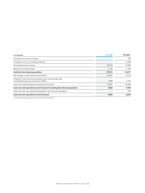| in $\epsilon$ thousands                                                                                | 01   2022 | 01   2021 1 |
|--------------------------------------------------------------------------------------------------------|-----------|-------------|
| Proceeds from capital increase                                                                         |           | 100         |
| Acquisition of non-controlling interests                                                               |           | $-2,300$    |
| Proceeds from borrowings                                                                               | 40,378    | 13,869      |
| Repayment of borrowings                                                                                | $-1,165$  | $-1,392$    |
| Cash flow from financing activities                                                                    | 39,213    | 10,277      |
| Net change in cash and cash equivalents                                                                | $-10,657$ | $-8,136$    |
| Change in cash and cash equivalents due to exchange-rates,<br>consolidated-group and valuation effects | 1,098     | 1,201       |
| Cash and cash equivalents at beginning of period                                                       | 17,421    | 15,964      |
| Cash and cash equivalents at end of period including discontinued operations                           | 7,862     | 9,029       |
| Cash and cash equivalents attributable to discontinued operations                                      |           | $-196$      |
| Cash and cash equivalents at end of period                                                             | 7,862     | 8,833       |

1 Including the it/services segment as a discontinued operation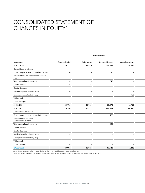## CONSOLIDATED STATEMENT OF CHANGES IN EQUITY1

| in $\epsilon$ thousands                         | Subscribed capital              | Capital reserve                 | <b>Currency differences</b> | <b>Actuarial gains/losses</b> |
|-------------------------------------------------|---------------------------------|---------------------------------|-----------------------------|-------------------------------|
| 01/01/2020                                      | 20,177                          | 86,840                          | $-23,821$                   | $-6,982$                      |
| Consolidated profit/loss                        |                                 | $\overline{\phantom{0}}$        | $\overline{\phantom{0}}$    | $\equiv$                      |
| Other comprehensive income before taxes         |                                 | $\overline{\phantom{a}}$        | 746                         |                               |
| Deferred taxes on other comprehensive<br>income |                                 |                                 | ۰                           |                               |
| Total comprehensive income                      | $\overline{\phantom{0}}$        | $\overline{\phantom{0}}$        | 746                         |                               |
| Capital increase                                | 19                              | 81                              | $\overline{\phantom{0}}$    |                               |
| Capital decrease                                | $\overline{\phantom{0}}$        | $\overline{\phantom{0}}$        | $\overline{\phantom{a}}$    | $\qquad \qquad -$             |
| Dividends paid to shareholders                  | $\qquad \qquad -$               | $\overline{\phantom{m}}$        | $\overline{\phantom{0}}$    | $\overline{\phantom{0}}$      |
| Change in consolidated group                    | $\overline{\phantom{m}}$        | $\overline{\phantom{m}}$        | $\overline{\phantom{a}}$    | 185                           |
| Withdrawals                                     |                                 | $\overline{\phantom{a}}$        | $\equiv$                    | $\overline{\phantom{0}}$      |
| Other changes                                   | $\hspace{0.1mm}-\hspace{0.1mm}$ | $\overline{\phantom{a}}$        | $\overline{\phantom{0}}$    | $\qquad \qquad -$             |
| 31/03/2021                                      | 20,196                          | 86,921                          | $-23,075$                   | $-6,797$                      |
| 01/01/2022                                      | 20,196                          | 86,921                          | $-19,969$                   | $-6,115$                      |
| Consolidated profit/loss                        | $\overline{\phantom{0}}$        | $\overline{\phantom{a}}$        | $\overline{\phantom{a}}$    | $\overline{\phantom{m}}$      |
| Other comprehensive income before taxes         | $\qquad \qquad -$               | $\hspace{0.1mm}-\hspace{0.1mm}$ | 426                         | $\overline{\phantom{0}}$      |
| Deferred taxes on other<br>comprehensive income |                                 | $\overline{\phantom{a}}$        | $\equiv$                    |                               |
| Total comprehensive income                      | $\overline{\phantom{0}}$        | $\overline{\phantom{a}}$        | 426                         | $\overline{\phantom{0}}$      |
| Capital increase                                | $\overline{\phantom{0}}$        | $\overline{\phantom{0}}$        | $\overline{\phantom{a}}$    |                               |
| Capital decrease                                | -                               | $\overline{\phantom{a}}$        |                             |                               |
| Dividends paid to shareholders                  |                                 | $\overline{\phantom{a}}$        | $\equiv$                    |                               |
| Change in consolidated group                    |                                 | $\overline{\phantom{0}}$        |                             |                               |
| Withdrawals                                     |                                 |                                 |                             |                               |
| Other changes                                   | $\qquad \qquad -$               | $-$                             | $\overline{\phantom{0}}$    | $\overline{\phantom{m}}$      |
| 31/03/2022                                      | 20,196                          | 86,921                          | $-19,543$                   | $-6,115$                      |

Revenue reserves

As the figures are presented in  $\epsilon$  thousands, the numbers may not add up due to rounding differences.

1 The consolidated statement of changes in equity for the previous year has been restated for adjustments in the flexible films segment.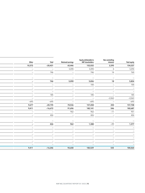| <b>Total equity</b> | Non-controlling<br>interests | Equity attributable to<br>KAP shareholders | <b>Retained earnings</b> | <b>Total</b>                    | Other                    |
|---------------------|------------------------------|--------------------------------------------|--------------------------|---------------------------------|--------------------------|
| 154,327             | 2,295                        | 152,032                                    | 65,446                   | $-20,431$                       | 10,372                   |
| 5,094               | $\overline{4}$               | 5,090                                      | 5,090                    | $\sim$                          | $\overline{\phantom{a}}$ |
| 760                 | 14                           | 746                                        | $\sim$                   | 746                             | $\sim$                   |
|                     |                              |                                            |                          |                                 |                          |
| $-$                 | $\overline{\phantom{a}}$     | $\overline{\phantom{0}}$                   | $-$                      | $-$                             | $-$                      |
| 5,854               | 18                           | 5,836                                      | 5,090                    | 746                             | $\overline{\phantom{a}}$ |
| 100                 | $\overline{\phantom{a}}$     | 100                                        | $\overline{\phantom{0}}$ | $\overline{\phantom{0}}$        | $\overline{\phantom{a}}$ |
|                     | $\overline{\phantom{a}}$     | $-$                                        | $-$                      | $\overline{\phantom{0}}$        | $\overline{\phantom{a}}$ |
|                     |                              | $\overline{\phantom{a}}$                   | $\overline{\phantom{0}}$ | $\equiv$                        | $\overline{\phantom{a}}$ |
| 185                 | $\overline{\phantom{a}}$     | 185                                        | $\overline{\phantom{0}}$ | 185                             | $ \,$                    |
| $-2,063$            | $-2,063$                     | $\sim$                                     | $\overline{\phantom{0}}$ | $\overline{a}$                  | $\equiv$                 |
| $-695$              | $\overline{\phantom{0}}$     | $-695$                                     | $\overline{\phantom{0}}$ | $-695$                          | $-695$                   |
| 157,708             | 250                          | 157,458                                    | 70,536                   | $-20,195$                       | 9,677                    |
| 182,687             | 546                          | 182,141                                    | 91,696                   | $-16,672$                       | 9,411                    |
| 951                 | $-11$                        | 962                                        | 962                      | $\sim$                          | $\sim$                   |
| 426                 | $\overline{\phantom{0}}$     | 426                                        | $\sim$                   | 426                             | $\overline{\phantom{0}}$ |
|                     |                              |                                            |                          |                                 |                          |
|                     | $\overline{\phantom{m}}$     | $-$                                        | $-$                      | $-$                             | $\overline{\phantom{m}}$ |
| 1,377               | $-11$                        | 1,388                                      | 962                      | 426                             | $\sim$                   |
|                     | $\overline{\phantom{0}}$     | $\overline{\phantom{a}}$                   | $\overline{\phantom{0}}$ | $\overline{\phantom{a}}$        | $\overline{\phantom{a}}$ |
|                     | $\overline{\phantom{0}}$     | $\overline{\phantom{a}}$                   | $ \,$                    | $\overline{\phantom{a}}$        | $\overline{\phantom{a}}$ |
|                     |                              |                                            | $\overline{\phantom{0}}$ | $\overline{\phantom{a}}$        | -                        |
|                     |                              |                                            | $\overline{\phantom{a}}$ | $\overline{\phantom{a}}$        | $\overline{\phantom{a}}$ |
|                     | $\overline{\phantom{a}}$     | $\overline{\phantom{0}}$                   | $\overline{\phantom{0}}$ | $\overline{\phantom{0}}$        | $\overline{\phantom{a}}$ |
|                     | $\overline{\phantom{0}}$     | $\overline{\phantom{0}}$                   | $-$                      | $\hspace{0.1mm}-\hspace{0.1mm}$ | $-$ .                    |
| 184,064             | 535                          | 183,529                                    | 92,658                   | $-16,246$                       | 9,411                    |
|                     |                              |                                            |                          |                                 |                          |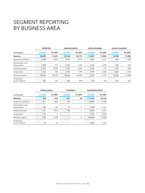# SEGMENT REPORTING BY BUSINESS AREA

|                                  | flexible films |           | engineered products |           | surface technologies |           | precision components |           |
|----------------------------------|----------------|-----------|---------------------|-----------|----------------------|-----------|----------------------|-----------|
| in $\epsilon$ thousands          | 01   2022      | 01   2021 | 01   2022           | 01   2021 | 01   2022            | 01   2021 | 01   2022            | 01   2021 |
| Revenue                          | 48,690         | 31,647    | 38,144              | 30,174    | 15,693               | 15,802    | 10,904               | 11,886    |
| Segment profit/loss              | 6,530          | 4,812     | 2,516               | 2,779     | 1,467                | 3,311     | 463                  | 1,528     |
| Amortisation and<br>depreciation | 1,808          | 912       | 1,329               | 1,386     | 3,126                | 2,792     | 936                  | 926       |
| Operating result                 | 4,722          | 3,900     | 1,187               | 1,393     | $-1,659$             | 519       | $-473$               | 602       |
| Investments                      | 1,123          | 785       | 2,415               | 399       | 1,747                | 5,343     | 1,683                | 1,670     |
| Working capital                  | 54,232         | 28,736    | 38,642              | 35,404    | 5,535                | 4,176     | 10,925               | 12,488    |
| Employees<br>as of 31 March      | 592            | 365       | 869                 | 878       | 744                  | 763       | 661                  | 659       |

|                                  | <b>Holding company</b> |           | Consolidation |             | <b>Consolidated profit/loss</b> |           |  |
|----------------------------------|------------------------|-----------|---------------|-------------|---------------------------------|-----------|--|
| in $\epsilon$ thousands          | 01   2022              | 01   2021 | 01   2022     | $Q1$   2021 | 01   2022                       | Q1   2021 |  |
| Revenue                          | 468                    | 639       | $-537$        | $-26$       | 113,332                         | 90,122    |  |
| Segment profit/loss              | $-611$                 | $-868$    | 125           |             | 10.490                          | 11,482    |  |
| Amortisation and<br>depreciation | 180                    | 146       | 19            | $-1$        | 7,398                           | 6,161     |  |
| Operating result                 | $-791$                 | $-1,014$  | 106           |             | 3,092                           | 5,321     |  |
| Investments                      | 133                    | 9         |               |             | 7,101                           | 8,206     |  |
| Working capital                  | $-733$                 | $-1.390$  | $-1$          | $-5$        | 108,600                         | 79.409    |  |
| Employees<br>as of 31 March      | 59                     | 55        |               |             | 2,925                           | 2,720     |  |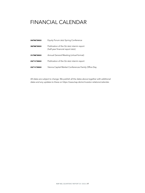## FINANCIAL CALENDAR

| 24/05/2022 | Equity Forum 2022 Spring Conference                                            |
|------------|--------------------------------------------------------------------------------|
| 30/08/2022 | Publication of the Q2 2022 interim report<br>(half-year financial report 2022) |
| 31/08/2022 | Annual General Meeting (virtual format)                                        |
| 23/11/2022 | Publication of the Q3 2022 interim report                                      |
| 23/11/2022 | Vienna Capital Market Conferences Family Office Day                            |

All dates are subject to change. We publish all the dates above together with additional dates and any updates to these on https://www.kap.de/en/investor-relations/calendar.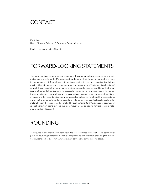#### CONTACT

Kai Knitter Head of Investor Relations & Corporate Communications

Email investorrelations@kap.de

## FORWARD-LOOKING STATEMENTS

This report contains forward-looking statements. These statements are based on current estimates and forecasts by the Management Board and on the information currently available to the Management Board. Such statements are subject to risks and uncertainties that are mostly difficult to assess and are generally outside the scope of KAP AG's and its subsidiaries' control. These include the future market environment and economic conditions, the behaviour of other market participants, the successful integration of new acquisitions, the realisation of anticipated synergy effects and measures taken by government agencies. Should any of these or other uncertainties and imponderables materialise, or should the assumptions on which the statements made are based prove to be inaccurate, actual results could differ materially from those expressed or implied by such statements. KAP AG does not assume any special obligation going beyond the legal requirements to update forward-looking statements made in this report.

#### ROUNDING

The figures in this report have been rounded in accordance with established commercial practice. Rounding differences may thus occur, meaning that the result of adding the individual figures together does not always precisely correspond to the total indicated.